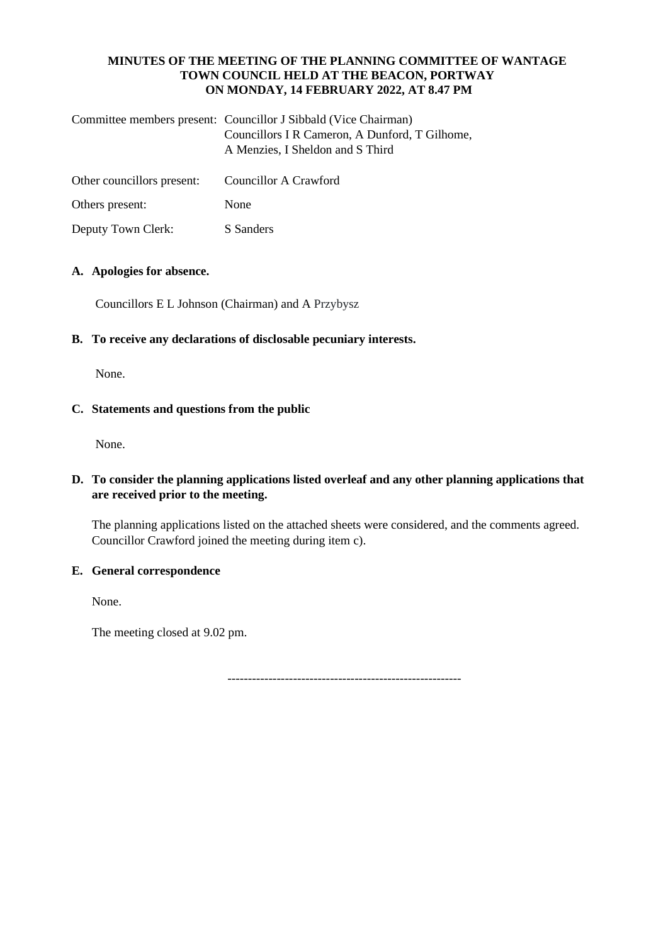#### **MINUTES OF THE MEETING OF THE PLANNING COMMITTEE OF WANTAGE TOWN COUNCIL HELD AT THE BEACON, PORTWAY ON MONDAY, 14 FEBRUARY 2022, AT 8.47 PM**

| Committee members present: Councillor J Sibbald (Vice Chairman) |
|-----------------------------------------------------------------|
| Councillors I R Cameron, A Dunford, T Gilhome,                  |
| A Menzies, I Sheldon and S Third                                |
|                                                                 |

| Other councillors present: | Councillor A Crawford |
|----------------------------|-----------------------|
|----------------------------|-----------------------|

Others present: None

Deputy Town Clerk: S Sanders

## **A. Apologies for absence.**

Councillors E L Johnson (Chairman) and A Przybysz

# **B. To receive any declarations of disclosable pecuniary interests.**

None.

# **C. Statements and questions from the public**

None.

# **D. To consider the planning applications listed overleaf and any other planning applications that are received prior to the meeting.**

The planning applications listed on the attached sheets were considered, and the comments agreed. Councillor Crawford joined the meeting during item c).

## **E. General correspondence**

None.

The meeting closed at 9.02 pm.

---------------------------------------------------------